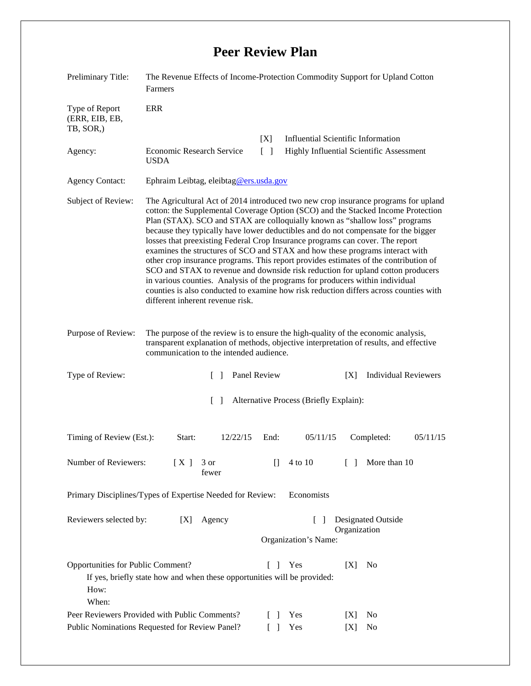## **Peer Review Plan**

| Preliminary Title:                                                      | The Revenue Effects of Income-Protection Commodity Support for Upland Cotton<br>Farmers                                                                                                                                                                                                                                                                                                                                                                                                                                                                                                                                                                                                                                                                                                                                                                                                               |                                   |                                                                             |                                           |                             |
|-------------------------------------------------------------------------|-------------------------------------------------------------------------------------------------------------------------------------------------------------------------------------------------------------------------------------------------------------------------------------------------------------------------------------------------------------------------------------------------------------------------------------------------------------------------------------------------------------------------------------------------------------------------------------------------------------------------------------------------------------------------------------------------------------------------------------------------------------------------------------------------------------------------------------------------------------------------------------------------------|-----------------------------------|-----------------------------------------------------------------------------|-------------------------------------------|-----------------------------|
| Type of Report<br>(ERR, EIB, EB,<br>TB, SOR,)                           | <b>ERR</b>                                                                                                                                                                                                                                                                                                                                                                                                                                                                                                                                                                                                                                                                                                                                                                                                                                                                                            |                                   |                                                                             |                                           |                             |
|                                                                         |                                                                                                                                                                                                                                                                                                                                                                                                                                                                                                                                                                                                                                                                                                                                                                                                                                                                                                       | [X]                               |                                                                             | <b>Influential Scientific Information</b> |                             |
| Agency:                                                                 | <b>Economic Research Service</b><br><b>USDA</b>                                                                                                                                                                                                                                                                                                                                                                                                                                                                                                                                                                                                                                                                                                                                                                                                                                                       | $\lceil \rceil$                   |                                                                             | Highly Influential Scientific Assessment  |                             |
| <b>Agency Contact:</b>                                                  | Ephraim Leibtag, eleibtag@ers.usda.gov                                                                                                                                                                                                                                                                                                                                                                                                                                                                                                                                                                                                                                                                                                                                                                                                                                                                |                                   |                                                                             |                                           |                             |
| Subject of Review:                                                      | The Agricultural Act of 2014 introduced two new crop insurance programs for upland<br>cotton: the Supplemental Coverage Option (SCO) and the Stacked Income Protection<br>Plan (STAX). SCO and STAX are colloquially known as "shallow loss" programs<br>because they typically have lower deductibles and do not compensate for the bigger<br>losses that preexisting Federal Crop Insurance programs can cover. The report<br>examines the structures of SCO and STAX and how these programs interact with<br>other crop insurance programs. This report provides estimates of the contribution of<br>SCO and STAX to revenue and downside risk reduction for upland cotton producers<br>in various counties. Analysis of the programs for producers within individual<br>counties is also conducted to examine how risk reduction differs across counties with<br>different inherent revenue risk. |                                   |                                                                             |                                           |                             |
| Purpose of Review:                                                      | The purpose of the review is to ensure the high-quality of the economic analysis,<br>transparent explanation of methods, objective interpretation of results, and effective<br>communication to the intended audience.                                                                                                                                                                                                                                                                                                                                                                                                                                                                                                                                                                                                                                                                                |                                   |                                                                             |                                           |                             |
| Type of Review:                                                         | $\Box$                                                                                                                                                                                                                                                                                                                                                                                                                                                                                                                                                                                                                                                                                                                                                                                                                                                                                                | Panel Review                      |                                                                             | [X]                                       | <b>Individual Reviewers</b> |
| Alternative Process (Briefly Explain):<br>$\Box$                        |                                                                                                                                                                                                                                                                                                                                                                                                                                                                                                                                                                                                                                                                                                                                                                                                                                                                                                       |                                   |                                                                             |                                           |                             |
| Timing of Review (Est.):                                                | Start:<br>12/22/15                                                                                                                                                                                                                                                                                                                                                                                                                                                                                                                                                                                                                                                                                                                                                                                                                                                                                    | End:                              | 05/11/15                                                                    | Completed:                                | 05/11/15                    |
| Number of Reviewers:                                                    | 3 or<br>[X]<br>fewer                                                                                                                                                                                                                                                                                                                                                                                                                                                                                                                                                                                                                                                                                                                                                                                                                                                                                  |                                   | 4 to 10                                                                     | More than 10<br>$\Box$                    |                             |
| Primary Disciplines/Types of Expertise Needed for Review:<br>Economists |                                                                                                                                                                                                                                                                                                                                                                                                                                                                                                                                                                                                                                                                                                                                                                                                                                                                                                       |                                   |                                                                             |                                           |                             |
| Reviewers selected by:<br>Agency<br>[X]                                 |                                                                                                                                                                                                                                                                                                                                                                                                                                                                                                                                                                                                                                                                                                                                                                                                                                                                                                       |                                   | <b>Designated Outside</b><br>$\Box$<br>Organization<br>Organization's Name: |                                           |                             |
| Opportunities for Public Comment?<br>How:<br>When:                      | If yes, briefly state how and when these opportunities will be provided:                                                                                                                                                                                                                                                                                                                                                                                                                                                                                                                                                                                                                                                                                                                                                                                                                              | $\begin{bmatrix} 1 \end{bmatrix}$ | Yes                                                                         | [X]<br>No                                 |                             |
| Peer Reviewers Provided with Public Comments?                           |                                                                                                                                                                                                                                                                                                                                                                                                                                                                                                                                                                                                                                                                                                                                                                                                                                                                                                       |                                   | Yes                                                                         | No<br> X                                  |                             |
| Public Nominations Requested for Review Panel?<br>$\mathsf{L}$          |                                                                                                                                                                                                                                                                                                                                                                                                                                                                                                                                                                                                                                                                                                                                                                                                                                                                                                       |                                   | Yes                                                                         | No<br>[X]                                 |                             |